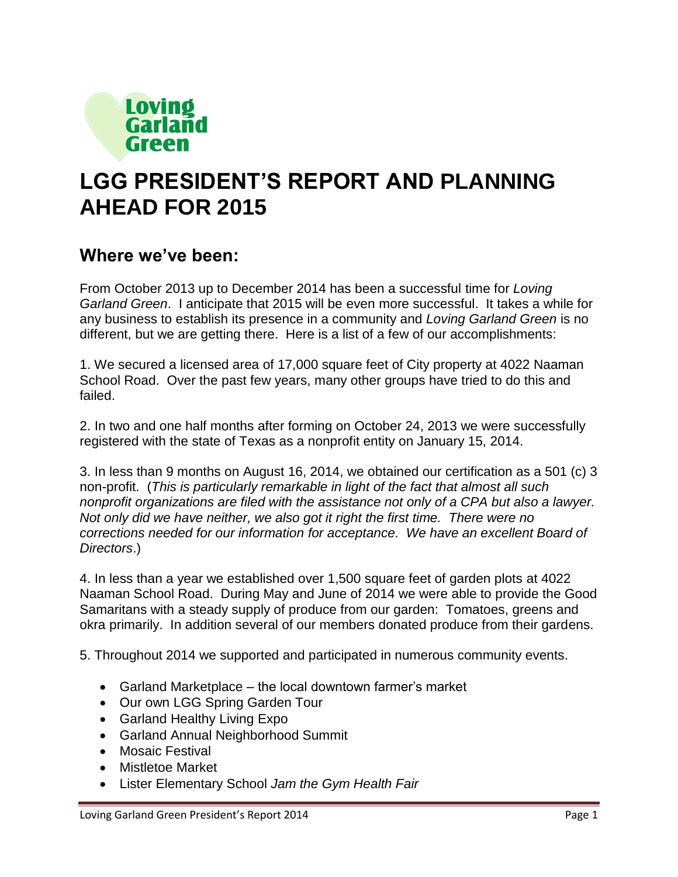

# **LGG PRESIDENT'S REPORT AND PLANNING AHEAD FOR 2015**

## **Where we've been:**

From October 2013 up to December 2014 has been a successful time for *Loving Garland Green*. I anticipate that 2015 will be even more successful. It takes a while for any business to establish its presence in a community and *Loving Garland Green* is no different, but we are getting there. Here is a list of a few of our accomplishments:

1. We secured a licensed area of 17,000 square feet of City property at 4022 Naaman School Road. Over the past few years, many other groups have tried to do this and failed.

2. In two and one half months after forming on October 24, 2013 we were successfully registered with the state of Texas as a nonprofit entity on January 15, 2014.

3. In less than 9 months on August 16, 2014, we obtained our certification as a 501 (c) 3 non-profit. (*This is particularly remarkable in light of the fact that almost all such nonprofit organizations are filed with the assistance not only of a CPA but also a lawyer. Not only did we have neither, we also got it right the first time. There were no corrections needed for our information for acceptance. We have an excellent Board of Directors*.)

4. In less than a year we established over 1,500 square feet of garden plots at 4022 Naaman School Road. During May and June of 2014 we were able to provide the Good Samaritans with a steady supply of produce from our garden: Tomatoes, greens and okra primarily. In addition several of our members donated produce from their gardens.

5. Throughout 2014 we supported and participated in numerous community events.

- Garland Marketplace the local downtown farmer's market
- Our own LGG Spring Garden Tour
- Garland Healthy Living Expo
- Garland Annual Neighborhood Summit
- Mosaic Festival
- Mistletoe Market
- Lister Elementary School *Jam the Gym Health Fair*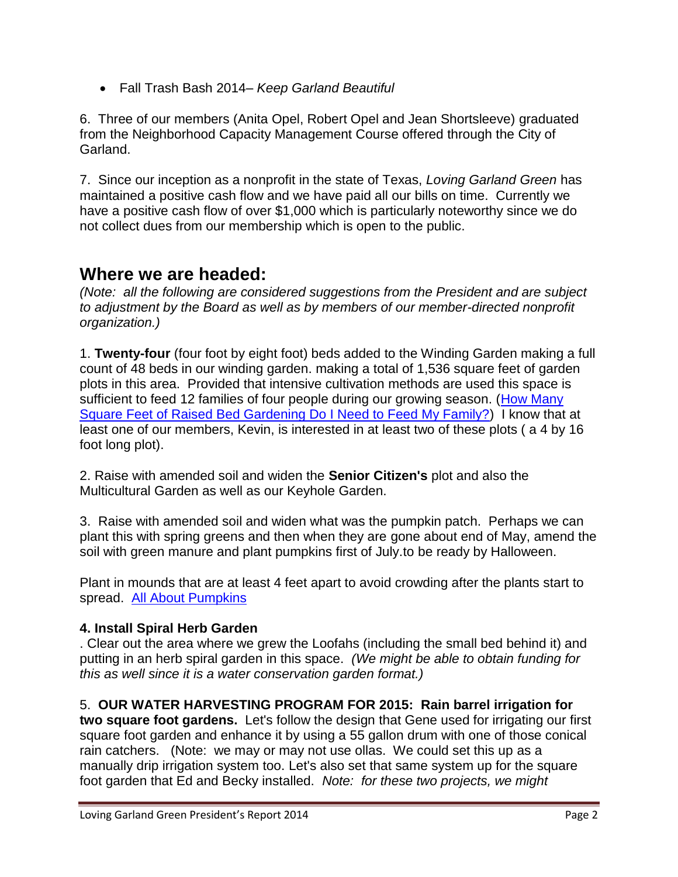Fall Trash Bash 2014– *Keep Garland Beautiful*

6. Three of our members (Anita Opel, Robert Opel and Jean Shortsleeve) graduated from the Neighborhood Capacity Management Course offered through the City of Garland.

7. Since our inception as a nonprofit in the state of Texas, *Loving Garland Green* has maintained a positive cash flow and we have paid all our bills on time. Currently we have a positive cash flow of over \$1,000 which is particularly noteworthy since we do not collect dues from our membership which is open to the public.

### **Where we are headed:**

*(Note: all the following are considered suggestions from the President and are subject to adjustment by the Board as well as by members of our member-directed nonprofit organization.)*

1. **Twenty-four** (four foot by eight foot) beds added to the Winding Garden making a full count of 48 beds in our winding garden. making a total of 1,536 square feet of garden plots in this area. Provided that intensive cultivation methods are used this space is sufficient to feed 12 families of four people during our growing season. (How Many [Square Feet of Raised Bed Gardening Do I Need to Feed My Family?\)](http://homeguides.sfgate.com/many-square-feet-raised-bed-gardening-need-feed-family-94551.html) I know that at least one of our members, Kevin, is interested in at least two of these plots ( a 4 by 16 foot long plot).

2. Raise with amended soil and widen the **Senior Citizen's** plot and also the Multicultural Garden as well as our Keyhole Garden.

3. Raise with amended soil and widen what was the pumpkin patch. Perhaps we can plant this with spring greens and then when they are gone about end of May, amend the soil with green manure and plant pumpkins first of July.to be ready by Halloween.

Plant in mounds that are at least 4 feet apart to avoid crowding after the plants start to spread. [All About Pumpkins](http://www.allaboutpumpkins.com/varieties.html)

#### **4. Install Spiral Herb Garden**

. Clear out the area where we grew the Loofahs (including the small bed behind it) and putting in an herb spiral garden in this space. *(We might be able to obtain funding for this as well since it is a water conservation garden format.)*

#### 5. **OUR WATER HARVESTING PROGRAM FOR 2015: Rain barrel irrigation for**

**two square foot gardens.** Let's follow the design that Gene used for irrigating our first square foot garden and enhance it by using a 55 gallon drum with one of those conical rain catchers. (Note: we may or may not use ollas. We could set this up as a manually drip irrigation system too. Let's also set that same system up for the square foot garden that Ed and Becky installed. *Note: for these two projects, we might*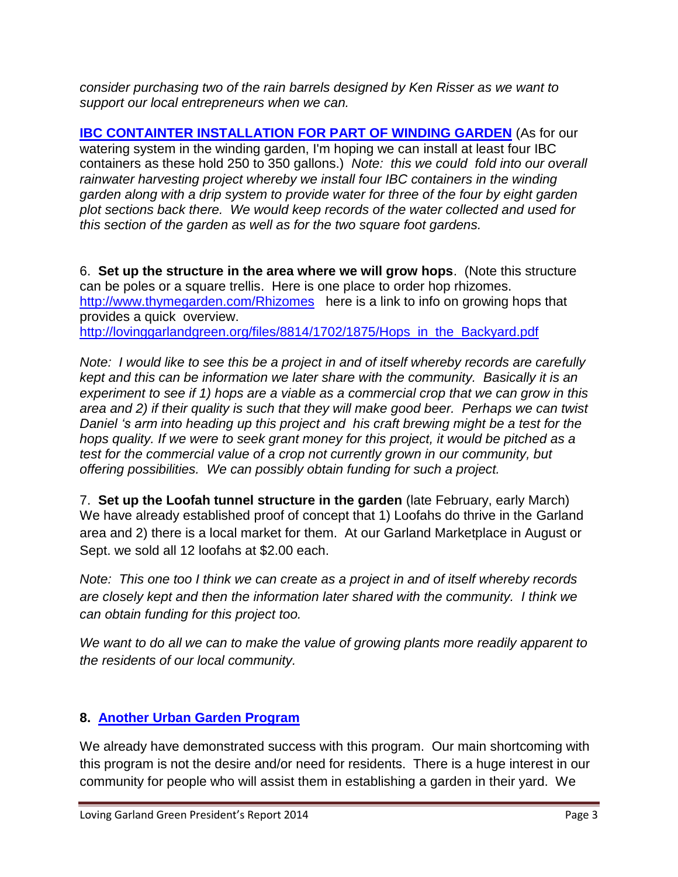*consider purchasing two of the rain barrels designed by Ken Risser as we want to support our local entrepreneurs when we can.* 

**[IBC CONTAINTER INSTALLATION FOR PART OF WINDING GARDEN](http://lovinggarlandgreen.org/files/8514/1686/2299/RAIN_SAUCERS.pdf)** (As for our watering system in the winding garden, I'm hoping we can install at least four IBC containers as these hold 250 to 350 gallons.) *Note: this we could fold into our overall rainwater harvesting project whereby we install four IBC containers in the winding garden along with a drip system to provide water for three of the four by eight garden plot sections back there. We would keep records of the water collected and used for this section of the garden as well as for the two square foot gardens.*

6. **Set up the structure in the area where we will grow hops**. (Note this structure can be poles or a square trellis. Here is one place to order hop rhizomes. <http://www.thymegarden.com/Rhizomes>here is a link to info on growing hops that provides a quick overview. [http://lovinggarlandgreen.org/files/8814/1702/1875/Hops\\_in\\_the\\_Backyard.pdf](http://lovinggarlandgreen.org/files/8814/1702/1875/Hops_in_the_Backyard.pdf)

*Note: I would like to see this be a project in and of itself whereby records are carefully kept and this can be information we later share with the community. Basically it is an experiment to see if 1) hops are a viable as a commercial crop that we can grow in this area and 2) if their quality is such that they will make good beer. Perhaps we can twist Daniel 's arm into heading up this project and his craft brewing might be a test for the hops quality. If we were to seek grant money for this project, it would be pitched as a test for the commercial value of a crop not currently grown in our community, but offering possibilities. We can possibly obtain funding for such a project.*

7. **Set up the Loofah tunnel structure in the garden** (late February, early March) We have already established proof of concept that 1) Loofahs do thrive in the Garland area and 2) there is a local market for them. At our Garland Marketplace in August or Sept. we sold all 12 loofahs at \$2.00 each.

*Note: This one too I think we can create as a project in and of itself whereby records are closely kept and then the information later shared with the community. I think we can obtain funding for this project too.*

*We want to do all we can to make the value of growing plants more readily apparent to the residents of our local community.*

#### **8. [Another Urban Garden Program](http://lovinggarlandgreen.org/files/4713/9627/5832/Loving_Garland_Green_brochure.pdf)**

We already have demonstrated success with this program. Our main shortcoming with this program is not the desire and/or need for residents. There is a huge interest in our community for people who will assist them in establishing a garden in their yard. We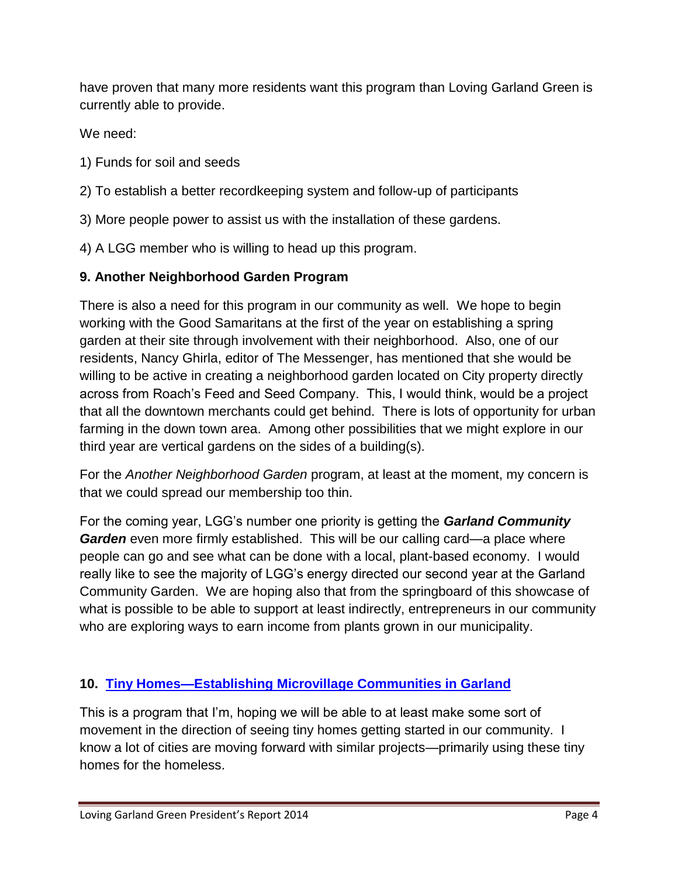have proven that many more residents want this program than Loving Garland Green is currently able to provide.

We need:

- 1) Funds for soil and seeds
- 2) To establish a better recordkeeping system and follow-up of participants
- 3) More people power to assist us with the installation of these gardens.
- 4) A LGG member who is willing to head up this program.

#### **9. Another Neighborhood Garden Program**

There is also a need for this program in our community as well. We hope to begin working with the Good Samaritans at the first of the year on establishing a spring garden at their site through involvement with their neighborhood. Also, one of our residents, Nancy Ghirla, editor of The Messenger, has mentioned that she would be willing to be active in creating a neighborhood garden located on City property directly across from Roach's Feed and Seed Company. This, I would think, would be a project that all the downtown merchants could get behind. There is lots of opportunity for urban farming in the down town area. Among other possibilities that we might explore in our third year are vertical gardens on the sides of a building(s).

For the *Another Neighborhood Garden* program, at least at the moment, my concern is that we could spread our membership too thin.

For the coming year, LGG's number one priority is getting the *Garland Community Garden* even more firmly established. This will be our calling card—a place where people can go and see what can be done with a local, plant-based economy. I would really like to see the majority of LGG's energy directed our second year at the Garland Community Garden. We are hoping also that from the springboard of this showcase of what is possible to be able to support at least indirectly, entrepreneurs in our community who are exploring ways to earn income from plants grown in our municipality.

#### **10. [Tiny Homes—Establishing Microvillage Communities in Garland](http://lovinggarlandgreen.org/files/3213/9637/7007/LLG_Micro_Village_Investment.pdf)**

This is a program that I'm, hoping we will be able to at least make some sort of movement in the direction of seeing tiny homes getting started in our community. I know a lot of cities are moving forward with similar projects—primarily using these tiny homes for the homeless.